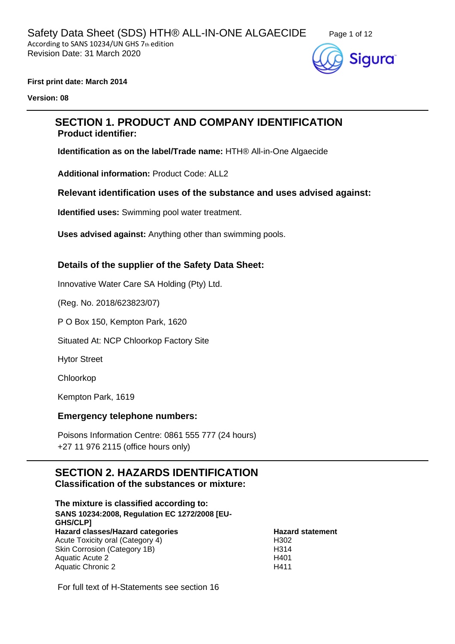

#### **First print date: March 2014**

**Version: 08**

# **SECTION 1. PRODUCT AND COMPANY IDENTIFICATION Product identifier:**

**Identification as on the label/Trade name:** HTH® All-in-One Algaecide

**Additional information:** Product Code: ALL2

#### **Relevant identification uses of the substance and uses advised against:**

**Identified uses:** Swimming pool water treatment.

**Uses advised against:** Anything other than swimming pools.

## **Details of the supplier of the Safety Data Sheet:**

Innovative Water Care SA Holding (Pty) Ltd.

(Reg. No. 2018/623823/07)

P O Box 150, Kempton Park, 1620

Situated At: NCP Chloorkop Factory Site

Hytor Street

Chloorkop

Kempton Park, 1619

#### **Emergency telephone numbers:**

Poisons Information Centre: 0861 555 777 (24 hours) +27 11 976 2115 (office hours only)

# **SECTION 2. HAZARDS IDENTIFICATION**

**Classification of the substances or mixture:**

**The mixture is classified according to: SANS 10234:2008, Regulation EC 1272/2008 [EU-GHS/CLP] Hazard classes/Hazard categories Hazard statement** Acute Toxicity oral (Category 4) Skin Corrosion (Category 1B) Aquatic Acute 2 Aquatic Chronic 2

H302 H314 H401 H411

For full text of H-Statements see section 16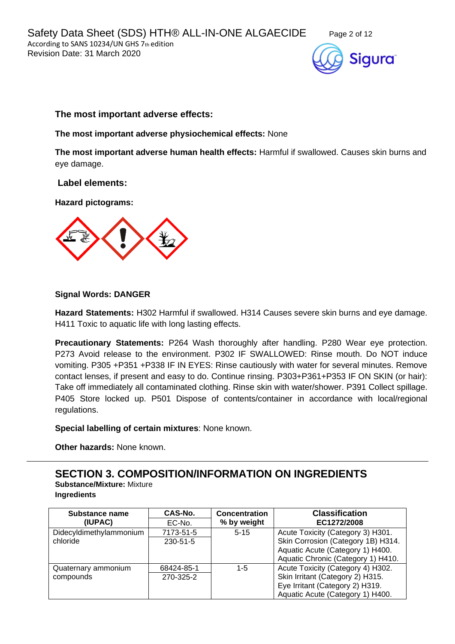



## **The most important adverse effects:**

#### **The most important adverse physiochemical effects:** None

**The most important adverse human health effects:** Harmful if swallowed. Causes skin burns and eye damage.

#### **Label elements:**

#### **Hazard pictograms:**



#### **Signal Words: DANGER**

**Hazard Statements:** H302 Harmful if swallowed. H314 Causes severe skin burns and eye damage. H411 Toxic to aquatic life with long lasting effects.

**Precautionary Statements:** P264 Wash thoroughly after handling. P280 Wear eye protection. P273 Avoid release to the environment. P302 IF SWALLOWED: Rinse mouth. Do NOT induce vomiting. P305 +P351 +P338 IF IN EYES: Rinse cautiously with water for several minutes. Remove contact lenses, if present and easy to do. Continue rinsing. P303+P361+P353 IF ON SKIN (or hair): Take off immediately all contaminated clothing. Rinse skin with water/shower. P391 Collect spillage. P405 Store locked up. P501 Dispose of contents/container in accordance with local/regional regulations.

**Special labelling of certain mixtures**: None known.

**Other hazards:** None known.

**SECTION 3. COMPOSITION/INFORMATION ON INGREDIENTS Substance/Mixture:** Mixture **Ingredients**

| Substance name<br>(IUPAC) | CAS-No.<br>EC-No. | <b>Concentration</b><br>% by weight | <b>Classification</b><br>EC1272/2008 |
|---------------------------|-------------------|-------------------------------------|--------------------------------------|
|                           |                   |                                     |                                      |
| Didecyldimethylammonium   | 7173-51-5         | $5 - 15$                            | Acute Toxicity (Category 3) H301.    |
| chloride                  | 230-51-5          |                                     | Skin Corrosion (Category 1B) H314.   |
|                           |                   |                                     | Aquatic Acute (Category 1) H400.     |
|                           |                   |                                     | Aquatic Chronic (Category 1) H410.   |
| Quaternary ammonium       | 68424-85-1        | $1 - 5$                             | Acute Toxicity (Category 4) H302.    |
| compounds                 | 270-325-2         |                                     | Skin Irritant (Category 2) H315.     |
|                           |                   |                                     | Eye Irritant (Category 2) H319.      |
|                           |                   |                                     | Aquatic Acute (Category 1) H400.     |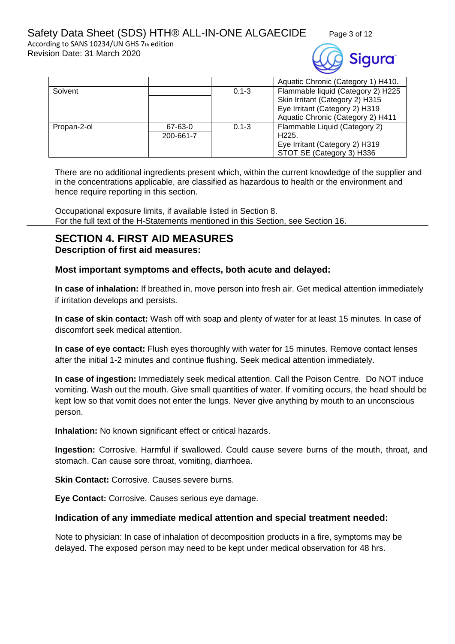According to SANS 10234/UN GHS 7th edition Revision Date: 31 March 2020



|             |           |           | Aquatic Chronic (Category 1) H410. |  |
|-------------|-----------|-----------|------------------------------------|--|
| Solvent     |           |           | Flammable liquid (Category 2) H225 |  |
|             |           |           | Skin Irritant (Category 2) H315    |  |
|             |           |           | Eye Irritant (Category 2) H319     |  |
|             |           |           | Aquatic Chronic (Category 2) H411  |  |
| Propan-2-ol | 67-63-0   | $0.1 - 3$ | Flammable Liquid (Category 2)      |  |
|             | 200-661-7 |           | H <sub>225</sub> .                 |  |
|             |           |           | Eye Irritant (Category 2) H319     |  |
|             |           |           | STOT SE (Category 3) H336          |  |

There are no additional ingredients present which, within the current knowledge of the supplier and in the concentrations applicable, are classified as hazardous to health or the environment and hence require reporting in this section.

Occupational exposure limits, if available listed in Section 8. For the full text of the H-Statements mentioned in this Section, see Section 16.

# **SECTION 4. FIRST AID MEASURES Description of first aid measures:**

# **Most important symptoms and effects, both acute and delayed:**

**In case of inhalation:** If breathed in, move person into fresh air. Get medical attention immediately if irritation develops and persists.

**In case of skin contact:** Wash off with soap and plenty of water for at least 15 minutes. In case of discomfort seek medical attention.

**In case of eye contact:** Flush eyes thoroughly with water for 15 minutes. Remove contact lenses after the initial 1-2 minutes and continue flushing. Seek medical attention immediately.

**In case of ingestion:** Immediately seek medical attention. Call the Poison Centre. Do NOT induce vomiting. Wash out the mouth. Give small quantities of water. If vomiting occurs, the head should be kept low so that vomit does not enter the lungs. Never give anything by mouth to an unconscious person.

**Inhalation:** No known significant effect or critical hazards.

**Ingestion:** Corrosive. Harmful if swallowed. Could cause severe burns of the mouth, throat, and stomach. Can cause sore throat, vomiting, diarrhoea.

**Skin Contact: Corrosive. Causes severe burns.** 

**Eye Contact:** Corrosive. Causes serious eye damage.

# **Indication of any immediate medical attention and special treatment needed:**

Note to physician: In case of inhalation of decomposition products in a fire, symptoms may be delayed. The exposed person may need to be kept under medical observation for 48 hrs.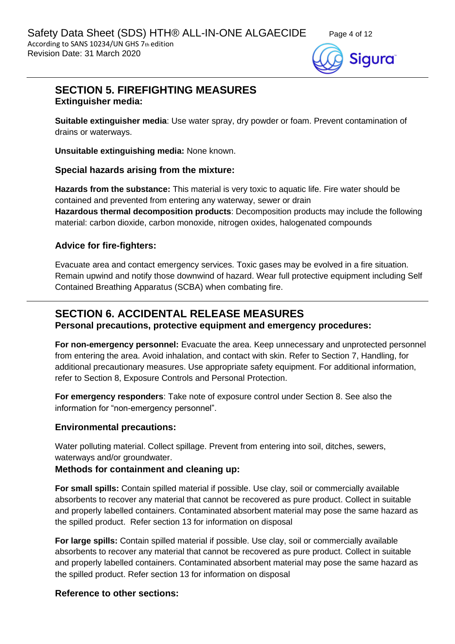

# **SECTION 5. FIREFIGHTING MEASURES Extinguisher media:**

**Suitable extinguisher media**: Use water spray, dry powder or foam. Prevent contamination of drains or waterways.

**Unsuitable extinguishing media:** None known.

# **Special hazards arising from the mixture:**

**Hazards from the substance:** This material is very toxic to aquatic life. Fire water should be contained and prevented from entering any waterway, sewer or drain **Hazardous thermal decomposition products**: Decomposition products may include the following material: carbon dioxide, carbon monoxide, nitrogen oxides, halogenated compounds

# **Advice for fire-fighters:**

Evacuate area and contact emergency services. Toxic gases may be evolved in a fire situation. Remain upwind and notify those downwind of hazard. Wear full protective equipment including Self Contained Breathing Apparatus (SCBA) when combating fire.

# **SECTION 6. ACCIDENTAL RELEASE MEASURES**

#### **Personal precautions, protective equipment and emergency procedures:**

**For non-emergency personnel:** Evacuate the area. Keep unnecessary and unprotected personnel from entering the area. Avoid inhalation, and contact with skin. Refer to Section 7, Handling, for additional precautionary measures. Use appropriate safety equipment. For additional information, refer to Section 8, Exposure Controls and Personal Protection.

**For emergency responders**: Take note of exposure control under Section 8. See also the information for "non-emergency personnel".

#### **Environmental precautions:**

Water polluting material. Collect spillage. Prevent from entering into soil, ditches, sewers, waterways and/or groundwater.

# **Methods for containment and cleaning up:**

**For small spills:** Contain spilled material if possible. Use clay, soil or commercially available absorbents to recover any material that cannot be recovered as pure product. Collect in suitable and properly labelled containers. Contaminated absorbent material may pose the same hazard as the spilled product. Refer section 13 for information on disposal

**For large spills:** Contain spilled material if possible. Use clay, soil or commercially available absorbents to recover any material that cannot be recovered as pure product. Collect in suitable and properly labelled containers. Contaminated absorbent material may pose the same hazard as the spilled product. Refer section 13 for information on disposal

# **Reference to other sections:**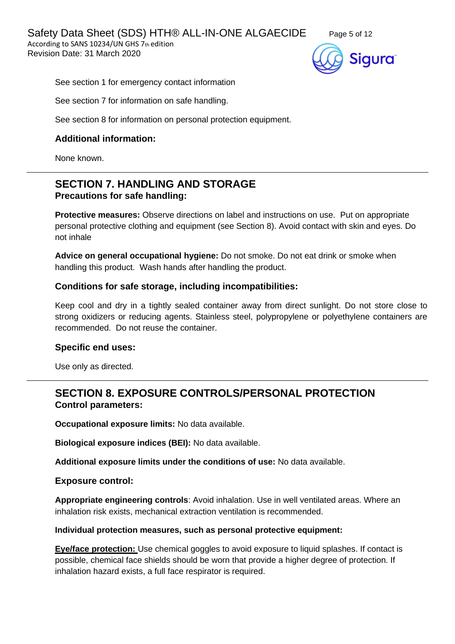Safety Data Sheet (SDS) HTH® ALL-IN-ONE ALGAECIDE Page 5 of 12 According to SANS 10234/UN GHS 7th edition Revision Date: 31 March 2020





See section 1 for emergency contact information

See section 7 for information on safe handling.

See section 8 for information on personal protection equipment.

# **Additional information:**

None known.

# **SECTION 7. HANDLING AND STORAGE Precautions for safe handling:**

**Protective measures:** Observe directions on label and instructions on use. Put on appropriate personal protective clothing and equipment (see Section 8). Avoid contact with skin and eyes. Do not inhale

**Advice on general occupational hygiene:** Do not smoke. Do not eat drink or smoke when handling this product. Wash hands after handling the product.

## **Conditions for safe storage, including incompatibilities:**

Keep cool and dry in a tightly sealed container away from direct sunlight. Do not store close to strong oxidizers or reducing agents. Stainless steel, polypropylene or polyethylene containers are recommended. Do not reuse the container.

#### **Specific end uses:**

Use only as directed.

# **SECTION 8. EXPOSURE CONTROLS/PERSONAL PROTECTION Control parameters:**

**Occupational exposure limits:** No data available.

**Biological exposure indices (BEI):** No data available.

**Additional exposure limits under the conditions of use:** No data available.

**Exposure control:**

**Appropriate engineering controls**: Avoid inhalation. Use in well ventilated areas. Where an inhalation risk exists, mechanical extraction ventilation is recommended.

#### **Individual protection measures, such as personal protective equipment:**

**Eye/face protection:** Use chemical goggles to avoid exposure to liquid splashes. If contact is possible, chemical face shields should be worn that provide a higher degree of protection. If inhalation hazard exists, a full face respirator is required.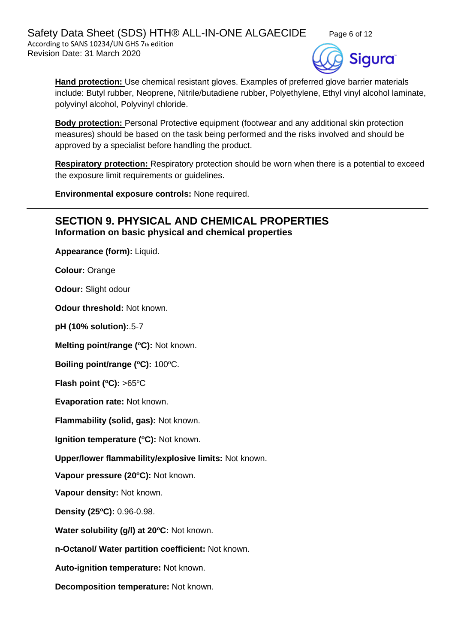Safety Data Sheet (SDS) HTH® ALL-IN-ONE ALGAECIDE Page 6 of 12 According to SANS 10234/UN GHS 7th edition Revision Date: 31 March 2020





**Hand protection:** Use chemical resistant gloves. Examples of preferred glove barrier materials include: Butyl rubber, Neoprene, Nitrile/butadiene rubber, Polyethylene, Ethyl vinyl alcohol laminate, polyvinyl alcohol, Polyvinyl chloride.

**Body protection:** Personal Protective equipment (footwear and any additional skin protection measures) should be based on the task being performed and the risks involved and should be approved by a specialist before handling the product.

**Respiratory protection:** Respiratory protection should be worn when there is a potential to exceed the exposure limit requirements or guidelines.

**Environmental exposure controls:** None required.

# **SECTION 9. PHYSICAL AND CHEMICAL PROPERTIES Information on basic physical and chemical properties**

**Appearance (form):** Liquid.

**Colour:** Orange

**Odour:** Slight odour

**Odour threshold:** Not known.

**pH (10% solution):**.5-7

**Melting point/range (<sup>o</sup>C):** Not known.

**Boiling point/range (°C): 100°C.** 

**Flash point (** $^{\circ}$ **C): >65** $^{\circ}$ **C** 

**Evaporation rate:** Not known.

**Flammability (solid, gas):** Not known.

**Ignition temperature (°C):** Not known.

**Upper/lower flammability/explosive limits:** Not known.

**Vapour pressure (20<sup>o</sup>C):** Not known.

**Vapour density:** Not known.

**Density (25 <sup>o</sup>C):** 0.96-0.98.

**Water solubility (g/l) at 20<sup>o</sup>C:** Not known.

**n-Octanol/ Water partition coefficient:** Not known.

**Auto-ignition temperature:** Not known.

**Decomposition temperature:** Not known.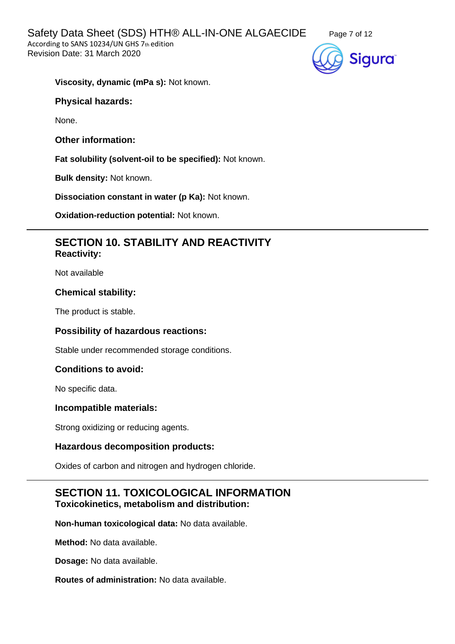

**Viscosity, dynamic (mPa s):** Not known.

# **Physical hazards:**

None.

**Other information:**

**Fat solubility (solvent-oil to be specified):** Not known.

**Bulk density:** Not known.

**Dissociation constant in water (p Ka):** Not known.

**Oxidation-reduction potential:** Not known.

# **SECTION 10. STABILITY AND REACTIVITY Reactivity:**

Not available

## **Chemical stability:**

The product is stable.

# **Possibility of hazardous reactions:**

Stable under recommended storage conditions.

# **Conditions to avoid:**

No specific data.

#### **Incompatible materials:**

Strong oxidizing or reducing agents.

#### **Hazardous decomposition products:**

Oxides of carbon and nitrogen and hydrogen chloride.

# **SECTION 11. TOXICOLOGICAL INFORMATION Toxicokinetics, metabolism and distribution:**

**Non-human toxicological data:** No data available.

**Method:** No data available.

**Dosage:** No data available.

**Routes of administration:** No data available.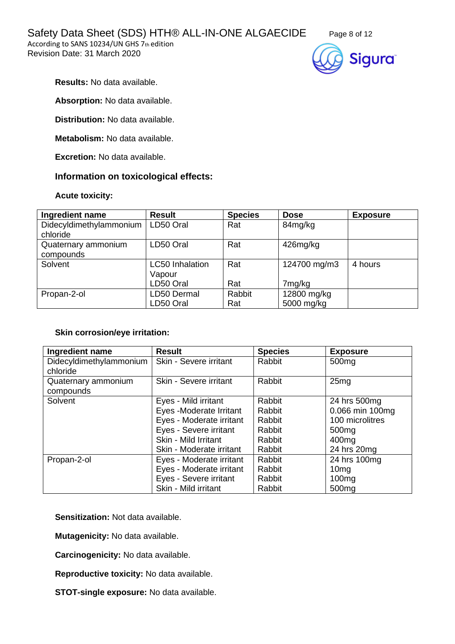Safety Data Sheet (SDS) HTH® ALL-IN-ONE ALGAECIDE Page 8 of 12

According to SANS 10234/UN GHS 7th edition Revision Date: 31 March 2020





**Results:** No data available.

**Absorption:** No data available.

**Distribution:** No data available.

**Metabolism:** No data available.

**Excretion:** No data available.

# **Information on toxicological effects:**

## **Acute toxicity:**

| Ingredient name                     | <b>Result</b>          | <b>Species</b> | <b>Dose</b>  | <b>Exposure</b> |
|-------------------------------------|------------------------|----------------|--------------|-----------------|
| Didecyldimethylammonium<br>chloride | LD50 Oral              | Rat            | 84mg/kg      |                 |
|                                     |                        |                |              |                 |
| Quaternary ammonium<br>compounds    | LD50 Oral              | Rat            | 426mg/kg     |                 |
| Solvent                             | <b>LC50</b> Inhalation | Rat            | 124700 mg/m3 | 4 hours         |
|                                     | Vapour                 |                |              |                 |
|                                     | LD50 Oral              | Rat            | 7mg/kg       |                 |
| Propan-2-ol                         | LD50 Dermal            | Rabbit         | 12800 mg/kg  |                 |
|                                     | LD50 Oral              | Rat            | 5000 mg/kg   |                 |

#### **Skin corrosion/eye irritation:**

| Ingredient name         | <b>Result</b>            | <b>Species</b> | <b>Exposure</b>   |
|-------------------------|--------------------------|----------------|-------------------|
| Didecyldimethylammonium | Skin - Severe irritant   | Rabbit         | 500 <sub>mg</sub> |
| chloride                |                          |                |                   |
| Quaternary ammonium     | Skin - Severe irritant   | Rabbit         | 25mg              |
| compounds               |                          |                |                   |
| Solvent                 | Eyes - Mild irritant     | Rabbit         | 24 hrs 500mg      |
|                         | Eyes -Moderate Irritant  | Rabbit         | 0.066 min 100mg   |
|                         | Eyes - Moderate irritant | Rabbit         | 100 microlitres   |
|                         | Eyes - Severe irritant   | Rabbit         | 500 <sub>mg</sub> |
|                         | Skin - Mild Irritant     | Rabbit         | 400 <sub>mg</sub> |
|                         | Skin - Moderate irritant | Rabbit         | 24 hrs 20mg       |
| Propan-2-ol             | Eyes - Moderate irritant | Rabbit         | 24 hrs 100mg      |
|                         | Eyes - Moderate irritant | Rabbit         | 10 <sub>mg</sub>  |
|                         | Eyes - Severe irritant   | Rabbit         | 100 <sub>mg</sub> |
|                         | Skin - Mild irritant     | Rabbit         | 500 <sub>mg</sub> |

**Sensitization:** Not data available.

**Mutagenicity:** No data available.

**Carcinogenicity:** No data available.

**Reproductive toxicity:** No data available.

**STOT-single exposure:** No data available.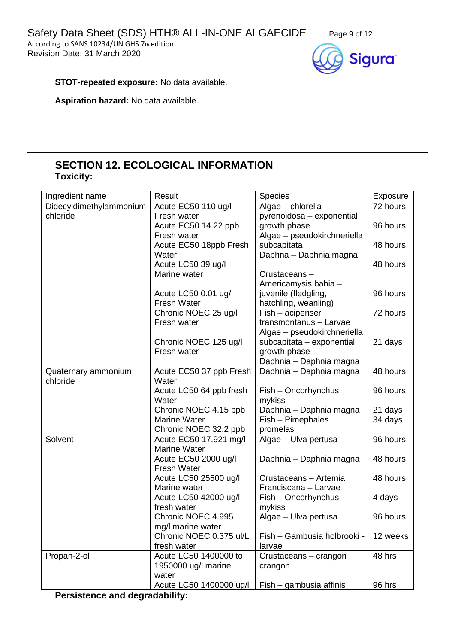

**STOT-repeated exposure:** No data available.

**Aspiration hazard:** No data available.

# **SECTION 12. ECOLOGICAL INFORMATION Toxicity:**

| Ingredient name         | Result                  | <b>Species</b>              | Exposure |
|-------------------------|-------------------------|-----------------------------|----------|
| Didecyldimethylammonium | Acute EC50 110 ug/l     | Algae - chlorella           | 72 hours |
| chloride                | Fresh water             | pyrenoidosa - exponential   |          |
|                         | Acute EC50 14.22 ppb    | growth phase                | 96 hours |
|                         | Fresh water             | Algae - pseudokirchneriella |          |
|                         | Acute EC50 18ppb Fresh  | subcapitata                 | 48 hours |
|                         | Water                   | Daphna - Daphnia magna      |          |
|                         | Acute LC50 39 ug/l      |                             | 48 hours |
|                         | Marine water            | Crustaceans-                |          |
|                         |                         | Americamysis bahia -        |          |
|                         | Acute LC50 0.01 ug/l    | juvenile (fledgling,        | 96 hours |
|                         | <b>Fresh Water</b>      | hatchling, weanling)        |          |
|                         | Chronic NOEC 25 ug/l    | Fish - acipenser            | 72 hours |
|                         | Fresh water             | transmontanus - Larvae      |          |
|                         |                         | Algae - pseudokirchneriella |          |
|                         | Chronic NOEC 125 ug/l   | subcapitata - exponential   | 21 days  |
|                         | Fresh water             | growth phase                |          |
|                         |                         | Daphnia - Daphnia magna     |          |
| Quaternary ammonium     | Acute EC50 37 ppb Fresh | Daphnia - Daphnia magna     | 48 hours |
| chloride                | Water                   |                             |          |
|                         | Acute LC50 64 ppb fresh | Fish - Oncorhynchus         | 96 hours |
|                         | Water                   | mykiss                      |          |
|                         | Chronic NOEC 4.15 ppb   | Daphnia - Daphnia magna     | 21 days  |
|                         | <b>Marine Water</b>     | Fish - Pimephales           | 34 days  |
|                         | Chronic NOEC 32.2 ppb   | promelas                    |          |
| Solvent                 | Acute EC50 17.921 mg/l  | Algae - Ulva pertusa        | 96 hours |
|                         | <b>Marine Water</b>     |                             |          |
|                         | Acute EC50 2000 ug/l    | Daphnia - Daphnia magna     | 48 hours |
|                         | <b>Fresh Water</b>      |                             |          |
|                         | Acute LC50 25500 ug/l   | Crustaceans - Artemia       | 48 hours |
|                         | Marine water            | Franciscana - Larvae        |          |
|                         | Acute LC50 42000 ug/l   | Fish - Oncorhynchus         | 4 days   |
|                         | fresh water             | mykiss                      |          |
|                         | Chronic NOEC 4.995      | Algae - Ulva pertusa        | 96 hours |
|                         | mg/I marine water       |                             |          |
|                         | Chronic NOEC 0.375 ul/L | Fish - Gambusia holbrooki - | 12 weeks |
|                         | fresh water             | larvae                      |          |
| Propan-2-ol             | Acute LC50 1400000 to   | Crustaceans - crangon       | 48 hrs   |
|                         | 1950000 ug/l marine     | crangon                     |          |
|                         | water                   |                             |          |
|                         | Acute LC50 1400000 ug/l | Fish – gambusia affinis     | 96 hrs   |

**Persistence and degradability:**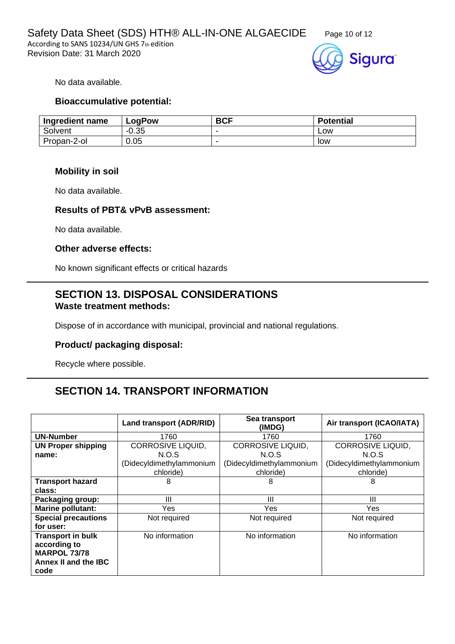



No data available.

#### **Bioaccumulative potential:**

| Ingredient name | LogPow  | <b>BCF</b> | <b>Potential</b> |
|-----------------|---------|------------|------------------|
| Solvent         | $-0.35$ | -          | ∟ow              |
| Propan-2-ol     | 0.05    | -          | low              |

#### **Mobility in soil**

No data available.

#### **Results of PBT& vPvB assessment:**

No data available.

#### **Other adverse effects:**

No known significant effects or critical hazards

# **SECTION 13. DISPOSAL CONSIDERATIONS Waste treatment methods:**

Dispose of in accordance with municipal, provincial and national regulations.

## **Product/ packaging disposal:**

Recycle where possible.

# **SECTION 14. TRANSPORT INFORMATION**

|                            | Land transport (ADR/RID) | Sea transport<br>(IMDG)  | Air transport (ICAO/IATA) |
|----------------------------|--------------------------|--------------------------|---------------------------|
| <b>UN-Number</b>           | 1760                     | 1760                     | 1760                      |
| <b>UN Proper shipping</b>  | <b>CORROSIVE LIQUID,</b> | CORROSIVE LIQUID,        | <b>CORROSIVE LIQUID,</b>  |
| name:                      | N.O.S                    | N.O.S                    | N.O.S                     |
|                            | (Didecyldimethylammonium | (Didecyldimethylammonium | (Didecyldimethylammonium  |
|                            | chloride)                | chloride)                | chloride)                 |
| <b>Transport hazard</b>    | 8                        | 8                        | 8                         |
| class:                     |                          |                          |                           |
| <b>Packaging group:</b>    | Ш                        | Ш                        | Ш                         |
| <b>Marine pollutant:</b>   | Yes                      | Yes                      | <b>Yes</b>                |
| <b>Special precautions</b> | Not required             | Not required             | Not required              |
| for user:                  |                          |                          |                           |
| <b>Transport in bulk</b>   | No information           | No information           | No information            |
| according to               |                          |                          |                           |
| <b>MARPOL 73/78</b>        |                          |                          |                           |
| Annex II and the IBC       |                          |                          |                           |
| code                       |                          |                          |                           |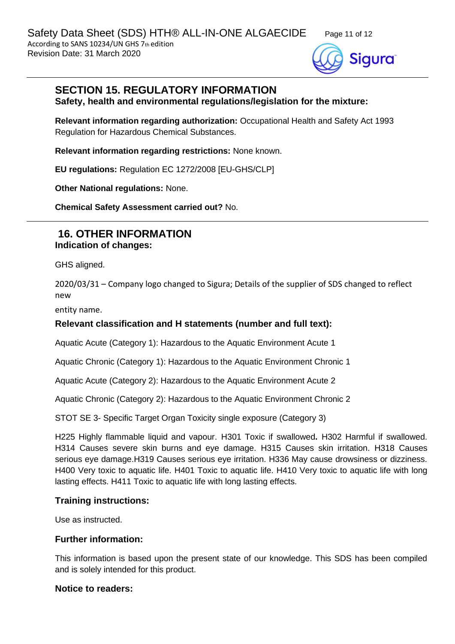

# **SECTION 15. REGULATORY INFORMATION**

**Safety, health and environmental regulations/legislation for the mixture:**

**Relevant information regarding authorization:** Occupational Health and Safety Act 1993 Regulation for Hazardous Chemical Substances.

**Relevant information regarding restrictions:** None known.

**EU regulations:** Regulation EC 1272/2008 [EU-GHS/CLP]

**Other National regulations:** None.

**Chemical Safety Assessment carried out?** No.

# **16. OTHER INFORMATION Indication of changes:**

GHS aligned.

2020/03/31 – Company logo changed to Sigura; Details of the supplier of SDS changed to reflect new

entity name.

# **Relevant classification and H statements (number and full text):**

Aquatic Acute (Category 1): Hazardous to the Aquatic Environment Acute 1

Aquatic Chronic (Category 1): Hazardous to the Aquatic Environment Chronic 1

Aquatic Acute (Category 2): Hazardous to the Aquatic Environment Acute 2

Aquatic Chronic (Category 2): Hazardous to the Aquatic Environment Chronic 2

STOT SE 3- Specific Target Organ Toxicity single exposure (Category 3)

H225 Highly flammable liquid and vapour. H301 Toxic if swallowed**.** H302 Harmful if swallowed. H314 Causes severe skin burns and eye damage. H315 Causes skin irritation. H318 Causes serious eye damage.H319 Causes serious eye irritation. H336 May cause drowsiness or dizziness. H400 Very toxic to aquatic life. H401 Toxic to aquatic life. H410 Very toxic to aquatic life with long lasting effects. H411 Toxic to aquatic life with long lasting effects.

#### **Training instructions:**

Use as instructed.

#### **Further information:**

This information is based upon the present state of our knowledge. This SDS has been compiled and is solely intended for this product.

#### **Notice to readers:**